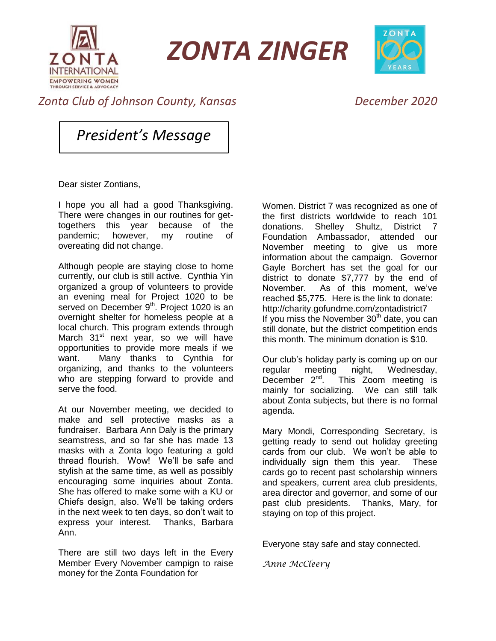

*ZONTA ZINGER*



## *Zonta Club of Johnson County, Kansas December 2020*

*President's Message*

Dear sister Zontians,

I hope you all had a good Thanksgiving. There were changes in our routines for gettogethers this year because of the pandemic; however, my routine of overeating did not change.

Although people are staying close to home currently, our club is still active. Cynthia Yin organized a group of volunteers to provide an evening meal for Project 1020 to be served on December 9<sup>th</sup>. Project 1020 is an overnight shelter for homeless people at a local church. This program extends through March 31<sup>st</sup> next year, so we will have opportunities to provide more meals if we want. Many thanks to Cynthia for organizing, and thanks to the volunteers who are stepping forward to provide and serve the food.

At our November meeting, we decided to make and sell protective masks as a fundraiser. Barbara Ann Daly is the primary seamstress, and so far she has made 13 masks with a Zonta logo featuring a gold thread flourish. Wow! We'll be safe and stylish at the same time, as well as possibly encouraging some inquiries about Zonta. She has offered to make some with a KU or Chiefs design, also. We'll be taking orders in the next week to ten days, so don't wait to express your interest. Thanks, Barbara Ann.

There are still two days left in the Every Member Every November campign to raise money for the Zonta Foundation for

Women. District 7 was recognized as one of the first districts worldwide to reach 101 donations. Shelley Shultz, District 7 Foundation Ambassador, attended our November meeting to give us more information about the campaign. Governor Gayle Borchert has set the goal for our district to donate \$7,777 by the end of November. As of this moment, we've reached \$5,775. Here is the link to donate: http://charity.gofundme.com/zontadistrict7 If you miss the November  $30<sup>th</sup>$  date, you can still donate, but the district competition ends this month. The minimum donation is \$10.

Our club's holiday party is coming up on our regular meeting night, Wednesday,<br>December 2<sup>nd</sup>. This Zoom meeting is This Zoom meeting is mainly for socializing. We can still talk about Zonta subjects, but there is no formal agenda.

Mary Mondi, Corresponding Secretary, is getting ready to send out holiday greeting cards from our club. We won't be able to individually sign them this year. These cards go to recent past scholarship winners and speakers, current area club presidents, area director and governor, and some of our past club presidents. Thanks, Mary, for staying on top of this project.

Everyone stay safe and stay connected.

*Anne McCleery*